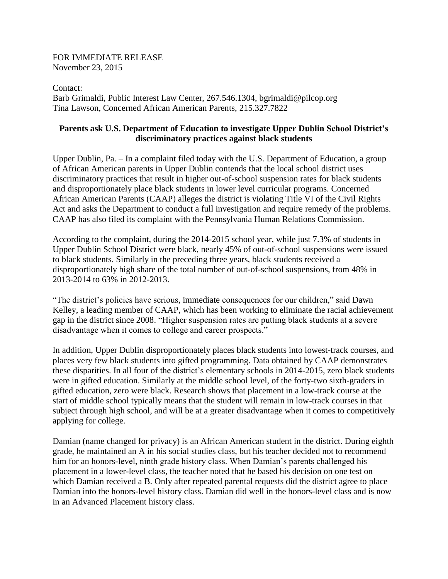FOR IMMEDIATE RELEASE November 23, 2015

Contact: Barb Grimaldi, Public Interest Law Center, 267.546.1304, bgrimaldi@pilcop.org Tina Lawson, Concerned African American Parents, 215.327.7822

## **Parents ask U.S. Department of Education to investigate Upper Dublin School District's discriminatory practices against black students**

Upper Dublin, Pa. – In a complaint filed today with the U.S. Department of Education, a group of African American parents in Upper Dublin contends that the local school district uses discriminatory practices that result in higher out-of-school suspension rates for black students and disproportionately place black students in lower level curricular programs. Concerned African American Parents (CAAP) alleges the district is violating Title VI of the Civil Rights Act and asks the Department to conduct a full investigation and require remedy of the problems. CAAP has also filed its complaint with the Pennsylvania Human Relations Commission.

According to the complaint, during the 2014-2015 school year, while just 7.3% of students in Upper Dublin School District were black, nearly 45% of out-of-school suspensions were issued to black students. Similarly in the preceding three years, black students received a disproportionately high share of the total number of out-of-school suspensions, from 48% in 2013-2014 to 63% in 2012-2013.

"The district's policies have serious, immediate consequences for our children," said Dawn Kelley, a leading member of CAAP, which has been working to eliminate the racial achievement gap in the district since 2008. "Higher suspension rates are putting black students at a severe disadvantage when it comes to college and career prospects."

In addition, Upper Dublin disproportionately places black students into lowest-track courses, and places very few black students into gifted programming. Data obtained by CAAP demonstrates these disparities. In all four of the district's elementary schools in 2014-2015, zero black students were in gifted education. Similarly at the middle school level, of the forty-two sixth-graders in gifted education, zero were black. Research shows that placement in a low-track course at the start of middle school typically means that the student will remain in low-track courses in that subject through high school, and will be at a greater disadvantage when it comes to competitively applying for college.

Damian (name changed for privacy) is an African American student in the district. During eighth grade, he maintained an A in his social studies class, but his teacher decided not to recommend him for an honors-level, ninth grade history class. When Damian's parents challenged his placement in a lower-level class, the teacher noted that he based his decision on one test on which Damian received a B. Only after repeated parental requests did the district agree to place Damian into the honors-level history class. Damian did well in the honors-level class and is now in an Advanced Placement history class.